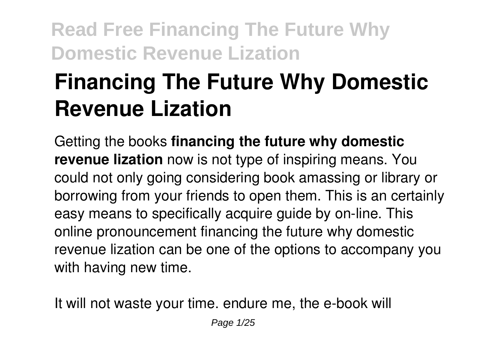# **Financing The Future Why Domestic Revenue Lization**

Getting the books **financing the future why domestic revenue lization** now is not type of inspiring means. You could not only going considering book amassing or library or borrowing from your friends to open them. This is an certainly easy means to specifically acquire guide by on-line. This online pronouncement financing the future why domestic revenue lization can be one of the options to accompany you with having new time.

It will not waste your time. endure me, the e-book will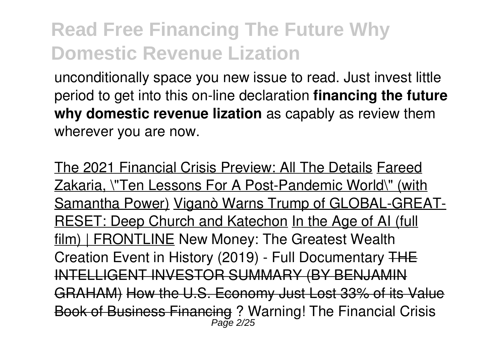unconditionally space you new issue to read. Just invest little period to get into this on-line declaration **financing the future why domestic revenue lization** as capably as review them wherever you are now.

The 2021 Financial Crisis Preview: All The Details Fareed Zakaria, \"Ten Lessons For A Post-Pandemic World\" (with Samantha Power) Viganò Warns Trump of GLOBAL-GREAT-RESET: Deep Church and Katechon In the Age of AI (full film) | FRONTLINE New Money: The Greatest Wealth Creation Event in History (2019) - Full Documentary THE INTELLIGENT INVESTOR SUMMARY (BY BENJAMIN GRAHAM) How the U.S. Economy Just Lost 33% of its Value Book of Business Financing ? Warning! The Financial Crisis Page 2/25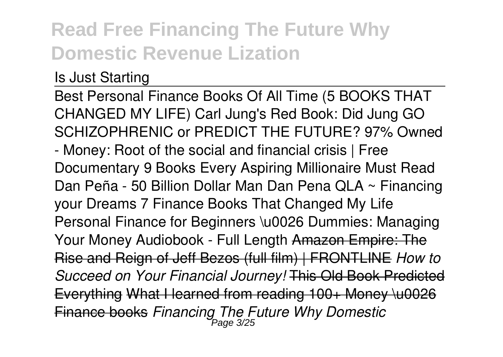### Is Just Starting

Best Personal Finance Books Of All Time (5 BOOKS THAT CHANGED MY LIFE) Carl Jung's Red Book: Did Jung GO SCHIZOPHRENIC or PREDICT THE FUTURE? 97% Owned - Money: Root of the social and financial crisis | Free Documentary 9 Books Every Aspiring Millionaire Must Read Dan Peña - 50 Billion Dollar Man Dan Pena QLA ~ Financing your Dreams 7 Finance Books That Changed My Life Personal Finance for Beginners \u0026 Dummies: Managing Your Money Audiobook - Full Length Amazon Empire: The Rise and Reign of Jeff Bezos (full film) | FRONTLINE *How to Succeed on Your Financial Journey!* This Old Book Predicted Everything What I learned from reading 100+ Money \u0026 Finance books *Financing The Future Why Domestic* Page 3/25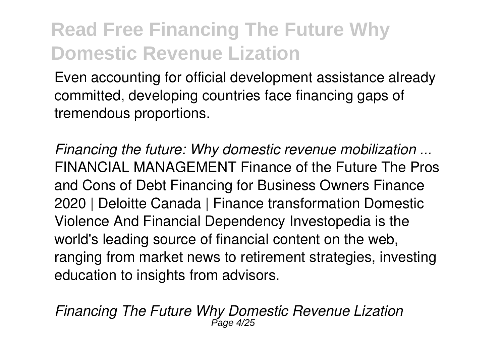Even accounting for official development assistance already committed, developing countries face financing gaps of tremendous proportions.

*Financing the future: Why domestic revenue mobilization ...* FINANCIAL MANAGEMENT Finance of the Future The Pros and Cons of Debt Financing for Business Owners Finance 2020 | Deloitte Canada | Finance transformation Domestic Violence And Financial Dependency Investopedia is the world's leading source of financial content on the web, ranging from market news to retirement strategies, investing education to insights from advisors.

*Financing The Future Why Domestic Revenue Lization* Page 4/25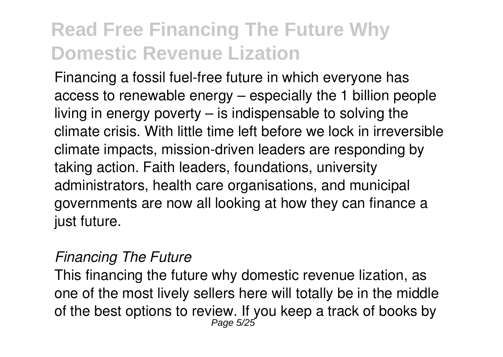Financing a fossil fuel-free future in which everyone has access to renewable energy – especially the 1 billion people living in energy poverty – is indispensable to solving the climate crisis. With little time left before we lock in irreversible climate impacts, mission-driven leaders are responding by taking action. Faith leaders, foundations, university administrators, health care organisations, and municipal governments are now all looking at how they can finance a just future.

#### *Financing The Future*

This financing the future why domestic revenue lization, as one of the most lively sellers here will totally be in the middle of the best options to review. If you keep a track of books by Page 5/25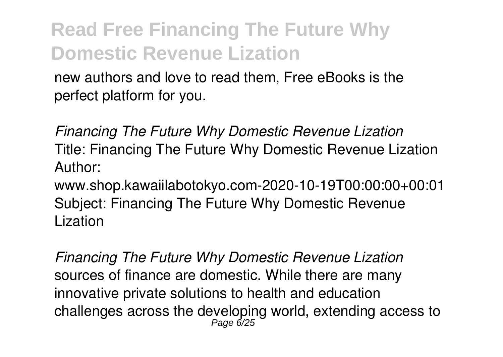new authors and love to read them, Free eBooks is the perfect platform for you.

*Financing The Future Why Domestic Revenue Lization* Title: Financing The Future Why Domestic Revenue Lization Author:

www.shop.kawaiilabotokyo.com-2020-10-19T00:00:00+00:01 Subject: Financing The Future Why Domestic Revenue Lization

*Financing The Future Why Domestic Revenue Lization* sources of finance are domestic. While there are many innovative private solutions to health and education challenges across the developing world, extending access to Page 6/25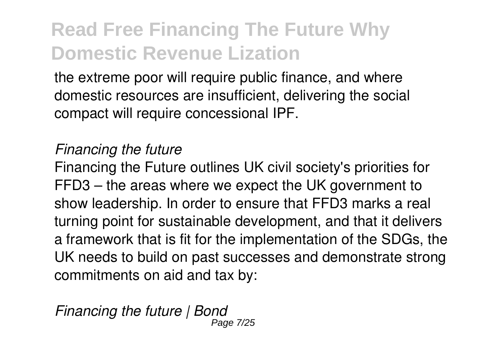the extreme poor will require public finance, and where domestic resources are insufficient, delivering the social compact will require concessional IPF.

### *Financing the future*

Financing the Future outlines UK civil society's priorities for FFD3 – the areas where we expect the UK government to show leadership. In order to ensure that FFD3 marks a real turning point for sustainable development, and that it delivers a framework that is fit for the implementation of the SDGs, the UK needs to build on past successes and demonstrate strong commitments on aid and tax by:

*Financing the future | Bond* Page 7/25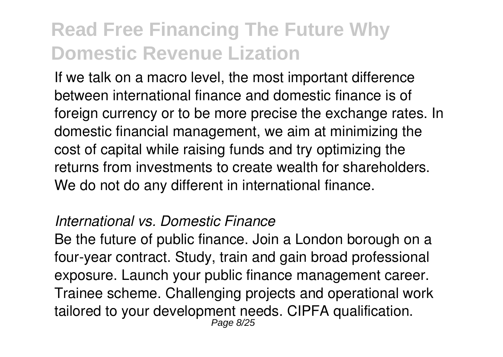If we talk on a macro level, the most important difference between international finance and domestic finance is of foreign currency or to be more precise the exchange rates. In domestic financial management, we aim at minimizing the cost of capital while raising funds and try optimizing the returns from investments to create wealth for shareholders. We do not do any different in international finance.

#### *International vs. Domestic Finance*

Be the future of public finance. Join a London borough on a four-year contract. Study, train and gain broad professional exposure. Launch your public finance management career. Trainee scheme. Challenging projects and operational work tailored to your development needs. CIPFA qualification. Page 8/25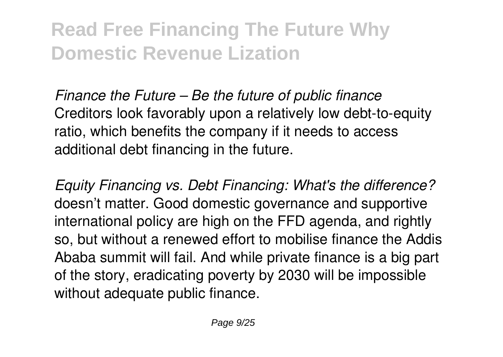*Finance the Future – Be the future of public finance* Creditors look favorably upon a relatively low debt-to-equity ratio, which benefits the company if it needs to access additional debt financing in the future.

*Equity Financing vs. Debt Financing: What's the difference?* doesn't matter. Good domestic governance and supportive international policy are high on the FFD agenda, and rightly so, but without a renewed effort to mobilise finance the Addis Ababa summit will fail. And while private finance is a big part of the story, eradicating poverty by 2030 will be impossible without adequate public finance.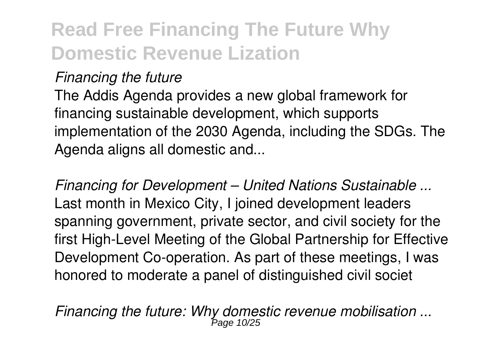### *Financing the future*

The Addis Agenda provides a new global framework for financing sustainable development, which supports implementation of the 2030 Agenda, including the SDGs. The Agenda aligns all domestic and...

*Financing for Development – United Nations Sustainable ...* Last month in Mexico City, I joined development leaders spanning government, private sector, and civil society for the first High-Level Meeting of the Global Partnership for Effective Development Co-operation. As part of these meetings, I was honored to moderate a panel of distinguished civil societ

*Financing the future: Why domestic revenue mobilisation ...* Page 10/25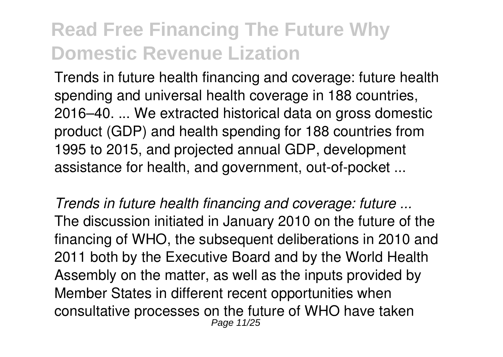Trends in future health financing and coverage: future health spending and universal health coverage in 188 countries, 2016–40. ... We extracted historical data on gross domestic product (GDP) and health spending for 188 countries from 1995 to 2015, and projected annual GDP, development assistance for health, and government, out-of-pocket ...

*Trends in future health financing and coverage: future ...* The discussion initiated in January 2010 on the future of the financing of WHO, the subsequent deliberations in 2010 and 2011 both by the Executive Board and by the World Health Assembly on the matter, as well as the inputs provided by Member States in different recent opportunities when consultative processes on the future of WHO have taken Page 11/25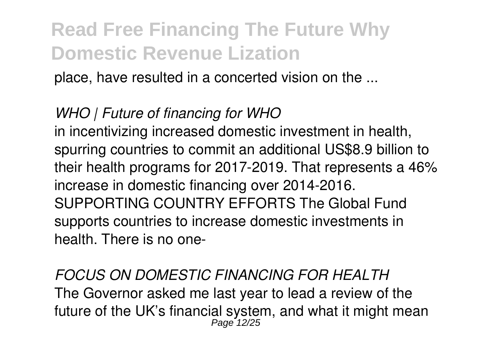place, have resulted in a concerted vision on the ...

### *WHO | Future of financing for WHO*

in incentivizing increased domestic investment in health, spurring countries to commit an additional US\$8.9 billion to their health programs for 2017-2019. That represents a 46% increase in domestic financing over 2014-2016. SUPPORTING COUNTRY EFFORTS The Global Fund supports countries to increase domestic investments in health. There is no one-

*FOCUS ON DOMESTIC FINANCING FOR HEALTH* The Governor asked me last year to lead a review of the future of the UK's financial system, and what it might mean Page 12/25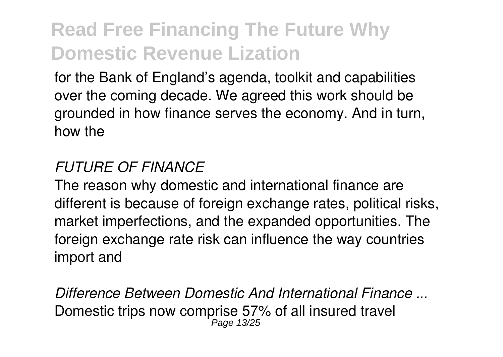for the Bank of England's agenda, toolkit and capabilities over the coming decade. We agreed this work should be grounded in how finance serves the economy. And in turn, how the

### *FUTURE OF FINANCE*

The reason why domestic and international finance are different is because of foreign exchange rates, political risks, market imperfections, and the expanded opportunities. The foreign exchange rate risk can influence the way countries import and

*Difference Between Domestic And International Finance ...* Domestic trips now comprise 57% of all insured travel Page 13/25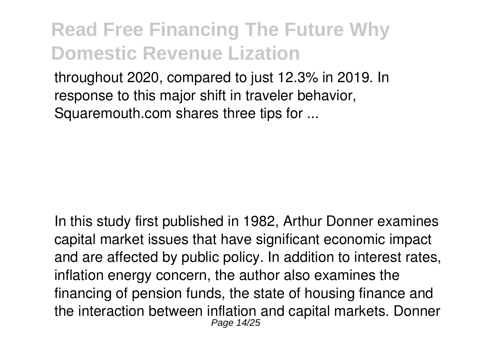throughout 2020, compared to just 12.3% in 2019. In response to this major shift in traveler behavior, Squaremouth.com shares three tips for ...

In this study first published in 1982, Arthur Donner examines capital market issues that have significant economic impact and are affected by public policy. In addition to interest rates, inflation energy concern, the author also examines the financing of pension funds, the state of housing finance and the interaction between inflation and capital markets. Donner Page 14/25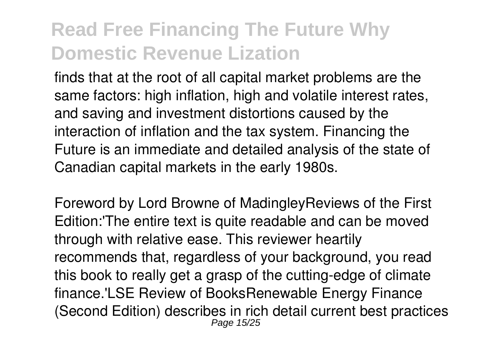finds that at the root of all capital market problems are the same factors: high inflation, high and volatile interest rates, and saving and investment distortions caused by the interaction of inflation and the tax system. Financing the Future is an immediate and detailed analysis of the state of Canadian capital markets in the early 1980s.

Foreword by Lord Browne of MadingleyReviews of the First Edition:'The entire text is quite readable and can be moved through with relative ease. This reviewer heartily recommends that, regardless of your background, you read this book to really get a grasp of the cutting-edge of climate finance.'LSE Review of BooksRenewable Energy Finance (Second Edition) describes in rich detail current best practices Page 15/25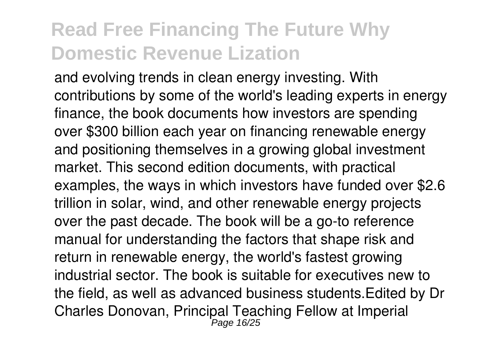and evolving trends in clean energy investing. With contributions by some of the world's leading experts in energy finance, the book documents how investors are spending over \$300 billion each year on financing renewable energy and positioning themselves in a growing global investment market. This second edition documents, with practical examples, the ways in which investors have funded over \$2.6 trillion in solar, wind, and other renewable energy projects over the past decade. The book will be a go-to reference manual for understanding the factors that shape risk and return in renewable energy, the world's fastest growing industrial sector. The book is suitable for executives new to the field, as well as advanced business students.Edited by Dr Charles Donovan, Principal Teaching Fellow at Imperial Page 16/25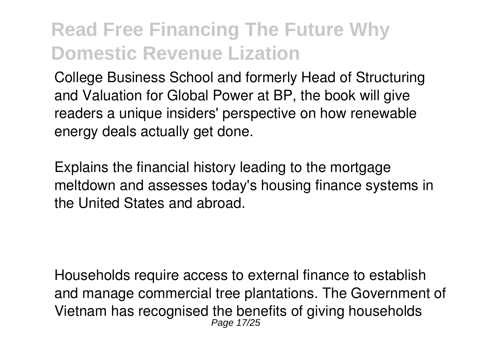College Business School and formerly Head of Structuring and Valuation for Global Power at BP, the book will give readers a unique insiders' perspective on how renewable energy deals actually get done.

Explains the financial history leading to the mortgage meltdown and assesses today's housing finance systems in the United States and abroad.

Households require access to external finance to establish and manage commercial tree plantations. The Government of Vietnam has recognised the benefits of giving households Page 17/25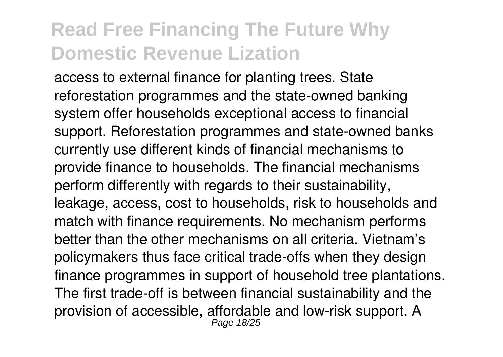access to external finance for planting trees. State reforestation programmes and the state-owned banking system offer households exceptional access to financial support. Reforestation programmes and state-owned banks currently use different kinds of financial mechanisms to provide finance to households. The financial mechanisms perform differently with regards to their sustainability, leakage, access, cost to households, risk to households and match with finance requirements. No mechanism performs better than the other mechanisms on all criteria. Vietnam's policymakers thus face critical trade-offs when they design finance programmes in support of household tree plantations. The first trade-off is between financial sustainability and the provision of accessible, affordable and low-risk support. A Page 18/25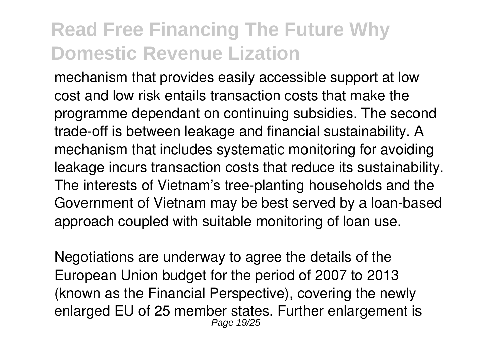mechanism that provides easily accessible support at low cost and low risk entails transaction costs that make the programme dependant on continuing subsidies. The second trade-off is between leakage and financial sustainability. A mechanism that includes systematic monitoring for avoiding leakage incurs transaction costs that reduce its sustainability. The interests of Vietnam's tree-planting households and the Government of Vietnam may be best served by a loan-based approach coupled with suitable monitoring of loan use.

Negotiations are underway to agree the details of the European Union budget for the period of 2007 to 2013 (known as the Financial Perspective), covering the newly enlarged EU of 25 member states. Further enlargement is Page 19/25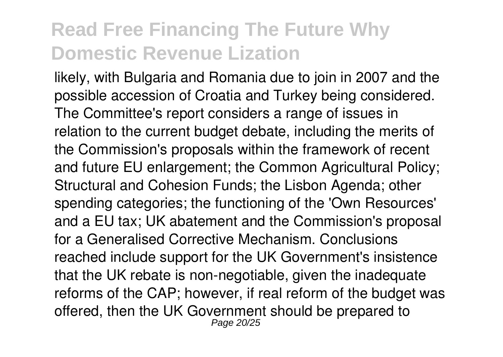likely, with Bulgaria and Romania due to join in 2007 and the possible accession of Croatia and Turkey being considered. The Committee's report considers a range of issues in relation to the current budget debate, including the merits of the Commission's proposals within the framework of recent and future EU enlargement; the Common Agricultural Policy; Structural and Cohesion Funds; the Lisbon Agenda; other spending categories; the functioning of the 'Own Resources' and a EU tax; UK abatement and the Commission's proposal for a Generalised Corrective Mechanism. Conclusions reached include support for the UK Government's insistence that the UK rebate is non-negotiable, given the inadequate reforms of the CAP; however, if real reform of the budget was offered, then the UK Government should be prepared to Page 20/25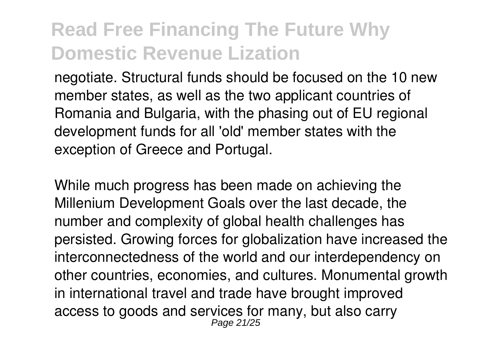negotiate. Structural funds should be focused on the 10 new member states, as well as the two applicant countries of Romania and Bulgaria, with the phasing out of EU regional development funds for all 'old' member states with the exception of Greece and Portugal.

While much progress has been made on achieving the Millenium Development Goals over the last decade, the number and complexity of global health challenges has persisted. Growing forces for globalization have increased the interconnectedness of the world and our interdependency on other countries, economies, and cultures. Monumental growth in international travel and trade have brought improved access to goods and services for many, but also carry Page 21/25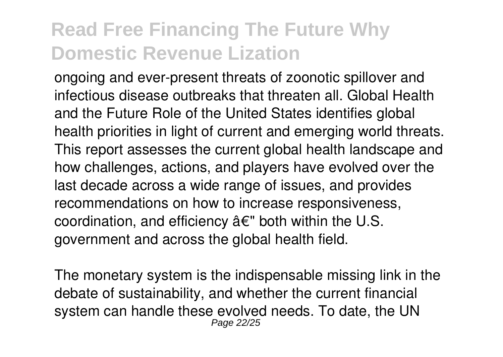ongoing and ever-present threats of zoonotic spillover and infectious disease outbreaks that threaten all. Global Health and the Future Role of the United States identifies global health priorities in light of current and emerging world threats. This report assesses the current global health landscape and how challenges, actions, and players have evolved over the last decade across a wide range of issues, and provides recommendations on how to increase responsiveness, coordination, and efficiency â€" both within the U.S. government and across the global health field.

The monetary system is the indispensable missing link in the debate of sustainability, and whether the current financial system can handle these evolved needs. To date, the UN Page 22/25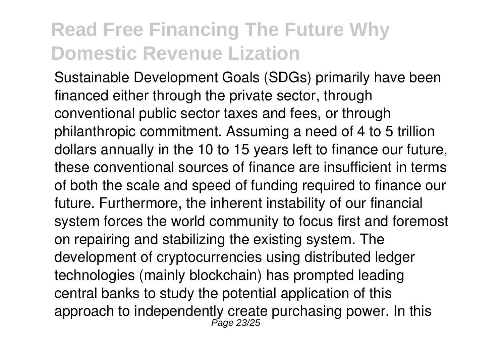Sustainable Development Goals (SDGs) primarily have been financed either through the private sector, through conventional public sector taxes and fees, or through philanthropic commitment. Assuming a need of 4 to 5 trillion dollars annually in the 10 to 15 years left to finance our future, these conventional sources of finance are insufficient in terms of both the scale and speed of funding required to finance our future. Furthermore, the inherent instability of our financial system forces the world community to focus first and foremost on repairing and stabilizing the existing system. The development of cryptocurrencies using distributed ledger technologies (mainly blockchain) has prompted leading central banks to study the potential application of this approach to independently create purchasing power. In this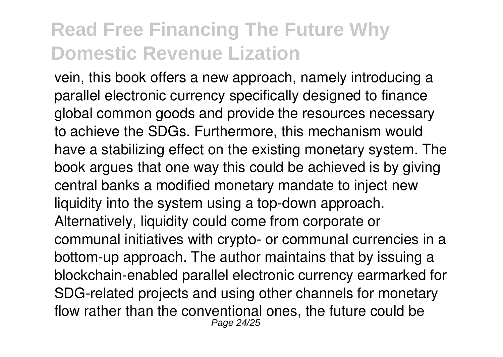vein, this book offers a new approach, namely introducing a parallel electronic currency specifically designed to finance global common goods and provide the resources necessary to achieve the SDGs. Furthermore, this mechanism would have a stabilizing effect on the existing monetary system. The book argues that one way this could be achieved is by giving central banks a modified monetary mandate to inject new liquidity into the system using a top-down approach. Alternatively, liquidity could come from corporate or communal initiatives with crypto- or communal currencies in a bottom-up approach. The author maintains that by issuing a blockchain-enabled parallel electronic currency earmarked for SDG-related projects and using other channels for monetary flow rather than the conventional ones, the future could be Page 24/25